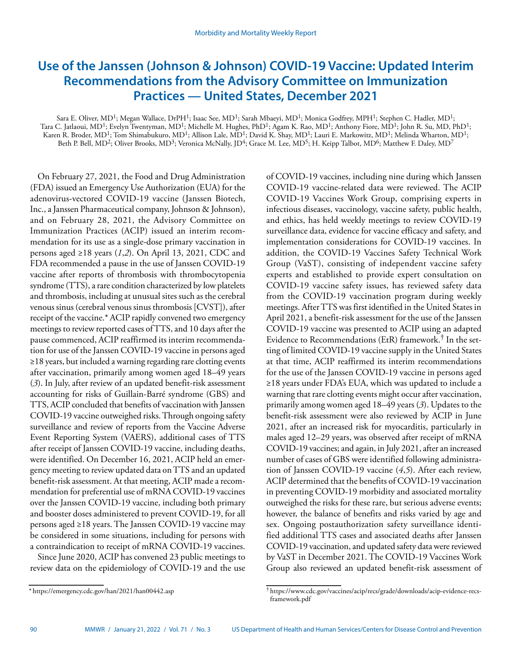# **Use of the Janssen (Johnson & Johnson) COVID-19 Vaccine: Updated Interim Recommendations from the Advisory Committee on Immunization Practices — United States, December 2021**

Sara E. Oliver, MD<sup>1</sup>; Megan Wallace, DrPH<sup>1</sup>; Isaac See, MD<sup>1</sup>; Sarah Mbaeyi, MD<sup>1</sup>; Monica Godfrey, MPH<sup>1</sup>; Stephen C. Hadler, MD<sup>1</sup>; Tara C. Jatlaoui, MD<sup>1</sup>; Evelyn Twentyman, MD<sup>1</sup>; Michelle M. Hughes, PhD<sup>1</sup>; Agam K. Rao, MD<sup>1</sup>; Anthony Fiore, MD<sup>1</sup>; John R. Su, MD, PhD<sup>1</sup>; Karen R. Broder, MD<sup>1</sup>; Tom Shimabukuro, MD<sup>1</sup>; Allison Lale, MD<sup>1</sup>; David K. Shay, MD<sup>1</sup>; Lauri E. Markowitz, MD<sup>1</sup>; Melinda Wharton, MD<sup>1</sup>; Beth P. Bell,  $MD^2$ ; Oliver Brooks,  $MD^3$ ; Veronica McNally,  $ID^4$ ; Grace M. Lee,  $MD^5$ ; H. Keipp Talbot,  $MD^6$ ; Matthew F. Daley,  $MD^7$ 

On February 27, 2021, the Food and Drug Administration (FDA) issued an Emergency Use Authorization (EUA) for the adenovirus-vectored COVID-19 vaccine (Janssen Biotech, Inc., a Janssen Pharmaceutical company, Johnson & Johnson), and on February 28, 2021, the Advisory Committee on Immunization Practices (ACIP) issued an interim recommendation for its use as a single-dose primary vaccination in persons aged ≥18 years (*1*,*2*). On April 13, 2021, CDC and FDA recommended a pause in the use of Janssen COVID-19 vaccine after reports of thrombosis with thrombocytopenia syndrome (TTS), a rare condition characterized by low platelets and thrombosis, including at unusual sites such as the cerebral venous sinus (cerebral venous sinus thrombosis [CVST]), after receipt of the vaccine.\* ACIP rapidly convened two emergency meetings to review reported cases of TTS, and 10 days after the pause commenced, ACIP reaffirmed its interim recommendation for use of the Janssen COVID-19 vaccine in persons aged ≥18 years, but included a warning regarding rare clotting events after vaccination, primarily among women aged 18–49 years (*3*). In July, after review of an updated benefit-risk assessment accounting for risks of Guillain-Barré syndrome (GBS) and TTS, ACIP concluded that benefits of vaccination with Janssen COVID-19 vaccine outweighed risks. Through ongoing safety surveillance and review of reports from the Vaccine Adverse Event Reporting System (VAERS), additional cases of TTS after receipt of Janssen COVID-19 vaccine, including deaths, were identified. On December 16, 2021, ACIP held an emergency meeting to review updated data on TTS and an updated benefit-risk assessment. At that meeting, ACIP made a recommendation for preferential use of mRNA COVID-19 vaccines over the Janssen COVID-19 vaccine, including both primary and booster doses administered to prevent COVID-19, for all persons aged ≥18 years. The Janssen COVID-19 vaccine may be considered in some situations, including for persons with a contraindication to receipt of mRNA COVID-19 vaccines.

Since June 2020, ACIP has convened 23 public meetings to review data on the epidemiology of COVID-19 and the use of COVID-19 vaccines, including nine during which Janssen COVID-19 vaccine-related data were reviewed. The ACIP COVID-19 Vaccines Work Group, comprising experts in infectious diseases, vaccinology, vaccine safety, public health, and ethics, has held weekly meetings to review COVID-19 surveillance data, evidence for vaccine efficacy and safety, and implementation considerations for COVID-19 vaccines. In addition, the COVID-19 Vaccines Safety Technical Work Group (VaST), consisting of independent vaccine safety experts and established to provide expert consultation on COVID-19 vaccine safety issues, has reviewed safety data from the COVID-19 vaccination program during weekly meetings. After TTS was first identified in the United States in April 2021, a benefit-risk assessment for the use of the Janssen COVID-19 vaccine was presented to ACIP using an adapted Evidence to Recommendations (EtR) framework.† In the setting of limited COVID-19 vaccine supply in the United States at that time, ACIP reaffirmed its interim recommendations for the use of the Janssen COVID-19 vaccine in persons aged ≥18 years under FDA's EUA, which was updated to include a warning that rare clotting events might occur after vaccination, primarily among women aged 18–49 years (*3*). Updates to the benefit-risk assessment were also reviewed by ACIP in June 2021, after an increased risk for myocarditis, particularly in males aged 12–29 years, was observed after receipt of mRNA COVID-19 vaccines; and again, in July 2021, after an increased number of cases of GBS were identified following administration of Janssen COVID-19 vaccine (*4*,*5*). After each review, ACIP determined that the benefits of COVID-19 vaccination in preventing COVID-19 morbidity and associated mortality outweighed the risks for these rare, but serious adverse events; however, the balance of benefits and risks varied by age and sex. Ongoing postauthorization safety surveillance identified additional TTS cases and associated deaths after Janssen COVID-19 vaccination, and updated safety data were reviewed by VaST in December 2021. The COVID-19 Vaccines Work Group also reviewed an updated benefit-risk assessment of

<sup>\*</sup> <https://emergency.cdc.gov/han/2021/han00442.asp>

<sup>†</sup> [https://www.cdc.gov/vaccines/acip/recs/grade/downloads/acip-evidence-recs](https://www.cdc.gov/vaccines/acip/recs/grade/downloads/acip-evidence-recs-framework.pdf)[framework.pdf](https://www.cdc.gov/vaccines/acip/recs/grade/downloads/acip-evidence-recs-framework.pdf)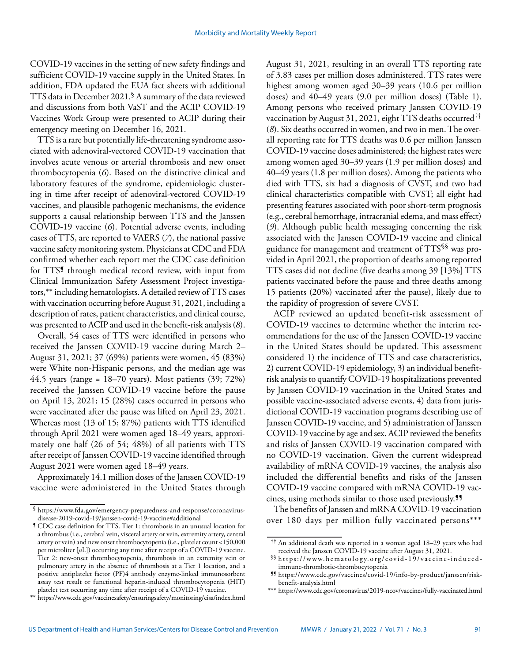COVID-19 vaccines in the setting of new safety findings and sufficient COVID-19 vaccine supply in the United States. In addition, FDA updated the EUA fact sheets with additional TTS data in December 2021.§ A summary of the data reviewed and discussions from both VaST and the ACIP COVID-19 Vaccines Work Group were presented to ACIP during their emergency meeting on December 16, 2021.

TTS is a rare but potentially life-threatening syndrome associated with adenoviral-vectored COVID-19 vaccination that involves acute venous or arterial thrombosis and new onset thrombocytopenia (*6*). Based on the distinctive clinical and laboratory features of the syndrome, epidemiologic clustering in time after receipt of adenoviral-vectored COVID-19 vaccines, and plausible pathogenic mechanisms, the evidence supports a causal relationship between TTS and the Janssen COVID-19 vaccine (*6*). Potential adverse events, including cases of TTS, are reported to VAERS (*7*), the national passive vaccine safety monitoring system. Physicians at CDC and FDA confirmed whether each report met the CDC case definition for TTS<sup>5</sup> through medical record review, with input from Clinical Immunization Safety Assessment Project investigators,\*\* including hematologists. A detailed review of TTS cases with vaccination occurring before August 31, 2021, including a description of rates, patient characteristics, and clinical course, was presented to ACIP and used in the benefit-risk analysis (*8*).

Overall, 54 cases of TTS were identified in persons who received the Janssen COVID-19 vaccine during March 2– August 31, 2021; 37 (69%) patients were women, 45 (83%) were White non-Hispanic persons, and the median age was 44.5 years (range =  $18-70$  years). Most patients (39; 72%) received the Janssen COVID-19 vaccine before the pause on April 13, 2021; 15 (28%) cases occurred in persons who were vaccinated after the pause was lifted on April 23, 2021. Whereas most (13 of 15; 87%) patients with TTS identified through April 2021 were women aged 18–49 years, approximately one half (26 of 54; 48%) of all patients with TTS after receipt of Janssen COVID-19 vaccine identified through August 2021 were women aged 18–49 years.

Approximately 14.1 million doses of the Janssen COVID-19 vaccine were administered in the United States through August 31, 2021, resulting in an overall TTS reporting rate of 3.83 cases per million doses administered. TTS rates were highest among women aged 30–39 years (10.6 per million doses) and 40–49 years (9.0 per million doses) (Table 1). Among persons who received primary Janssen COVID-19 vaccination by August 31, 2021, eight TTS deaths occurred†† (*8*). Six deaths occurred in women, and two in men. The overall reporting rate for TTS deaths was 0.6 per million Janssen COVID-19 vaccine doses administered; the highest rates were among women aged 30–39 years (1.9 per million doses) and 40–49 years (1.8 per million doses). Among the patients who died with TTS, six had a diagnosis of CVST, and two had clinical characteristics compatible with CVST; all eight had presenting features associated with poor short-term prognosis (e.g., cerebral hemorrhage, intracranial edema, and mass effect) (*9*). Although public health messaging concerning the risk associated with the Janssen COVID-19 vaccine and clinical guidance for management and treatment of TTS§§ was provided in April 2021, the proportion of deaths among reported TTS cases did not decline (five deaths among 39 [13%] TTS patients vaccinated before the pause and three deaths among 15 patients (20%) vaccinated after the pause), likely due to the rapidity of progression of severe CVST.

ACIP reviewed an updated benefit-risk assessment of COVID-19 vaccines to determine whether the interim recommendations for the use of the Janssen COVID-19 vaccine in the United States should be updated. This assessment considered 1) the incidence of TTS and case characteristics, 2) current COVID-19 epidemiology, 3) an individual benefitrisk analysis to quantify COVID-19 hospitalizations prevented by Janssen COVID-19 vaccination in the United States and possible vaccine-associated adverse events, 4) data from jurisdictional COVID-19 vaccination programs describing use of Janssen COVID-19 vaccine, and 5) administration of Janssen COVID-19 vaccine by age and sex. ACIP reviewed the benefits and risks of Janssen COVID-19 vaccination compared with no COVID-19 vaccination. Given the current widespread availability of mRNA COVID-19 vaccines, the analysis also included the differential benefits and risks of the Janssen COVID-19 vaccine compared with mRNA COVID-19 vaccines, using methods similar to those used previously.¶¶

The benefits of Janssen and mRNA COVID-19 vaccination over 180 days per million fully vaccinated persons\*\*\*

 $^\mathbb{S}$ [https://www.fda.gov/emergency-preparedness-and-response/coronavirus](https://www.fda.gov/emergency-preparedness-and-response/coronavirus-disease-2019-covid-19/janssen-covid-19-vaccine#additional)[disease-2019-covid-19/janssen-covid-19-vaccine#additional](https://www.fda.gov/emergency-preparedness-and-response/coronavirus-disease-2019-covid-19/janssen-covid-19-vaccine#additional)

<sup>¶</sup> CDC case definition for TTS. Tier 1: thrombosis in an unusual location for a thrombus (i.e., cerebral vein, visceral artery or vein, extremity artery, central artery or vein) and new onset thrombocytopenia (i.e., platelet count <150,000 per microliter [*µ*L]) occurring any time after receipt of a COVID-19 vaccine. Tier 2: new-onset thrombocytopenia, thrombosis in an extremity vein or pulmonary artery in the absence of thrombosis at a Tier 1 location, and a positive antiplatelet factor (PF)4 antibody enzyme-linked immunosorbent assay test result or functional heparin-induced thrombocytopenia (HIT) platelet test occurring any time after receipt of a COVID-19 vaccine.

<sup>\*\*</sup> <https://www.cdc.gov/vaccinesafety/ensuringsafety/monitoring/cisa/index.html>

<sup>††</sup> An additional death was reported in a woman aged 18–29 years who had received the Janssen COVID-19 vaccine after August 31, 2021.

<sup>§§</sup> [https://www.hematology.org/covid-19/vaccine-induced](https://www.hematology.org/covid-19/vaccine-induced-immune-thrombotic-thrombocytopenia)[immune-thrombotic-thrombocytopenia](https://www.hematology.org/covid-19/vaccine-induced-immune-thrombotic-thrombocytopenia)

<sup>¶¶</sup> [https://www.cdc.gov/vaccines/covid-19/info-by-product/janssen/risk](https://www.cdc.gov/vaccines/covid-19/info-by-product/janssen/risk-benefit-analysis.html)[benefit-analysis.html](https://www.cdc.gov/vaccines/covid-19/info-by-product/janssen/risk-benefit-analysis.html)

<sup>\*\*\*</sup> <https://www.cdc.gov/coronavirus/2019-ncov/vaccines/fully-vaccinated.html>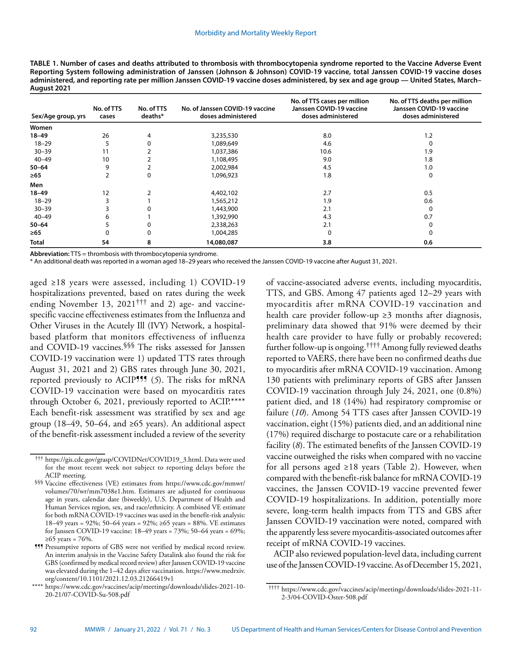| TABLE 1. Number of cases and deaths attributed to thrombosis with thrombocytopenia syndrome reported to the Vaccine Adverse Event      |
|----------------------------------------------------------------------------------------------------------------------------------------|
| Reporting System following administration of Janssen (Johnson & Johnson) COVID-19 vaccine, total Janssen COVID-19 vaccine doses        |
| administered, and reporting rate per million Janssen COVID-19 vaccine doses administered, by sex and age group — United States, March– |
| August 2021                                                                                                                            |

| Sex/Age group, yrs | No. of TTS<br>cases | No. of TTS<br>deaths* | No. of Janssen COVID-19 vaccine<br>doses administered | No. of TTS cases per million<br>Janssen COVID-19 vaccine<br>doses administered | No. of TTS deaths per million<br>Janssen COVID-19 vaccine<br>doses administered |
|--------------------|---------------------|-----------------------|-------------------------------------------------------|--------------------------------------------------------------------------------|---------------------------------------------------------------------------------|
| Women              |                     |                       |                                                       |                                                                                |                                                                                 |
| $18 - 49$          | 26                  | 4                     | 3,235,530                                             | 8.0                                                                            | 1.2                                                                             |
| $18 - 29$          | 5                   |                       | 1,089,649                                             | 4.6                                                                            |                                                                                 |
| $30 - 39$          | 11                  |                       | 1,037,386                                             | 10.6                                                                           | 1.9                                                                             |
| $40 - 49$          | 10                  |                       | 1,108,495                                             | 9.0                                                                            | 1.8                                                                             |
| $50 - 64$          | 9                   |                       | 2,002,984                                             | 4.5                                                                            | 1.0                                                                             |
| $\geq 65$          | 2                   | 0                     | 1,096,923                                             | 1.8                                                                            | 0                                                                               |
| Men                |                     |                       |                                                       |                                                                                |                                                                                 |
| $18 - 49$          | 12                  |                       | 4,402,102                                             | 2.7                                                                            | 0.5                                                                             |
| $18 - 29$          |                     |                       | 1,565,212                                             | 1.9                                                                            | 0.6                                                                             |
| $30 - 39$          |                     |                       | 1,443,900                                             | 2.1                                                                            | 0                                                                               |
| $40 - 49$          | 6                   |                       | 1,392,990                                             | 4.3                                                                            | 0.7                                                                             |
| $50 - 64$          |                     |                       | 2,338,263                                             | 2.1                                                                            |                                                                                 |
| ≥65                | 0                   |                       | 1,004,285                                             | $\Omega$                                                                       |                                                                                 |
| <b>Total</b>       | 54                  | 8                     | 14,080,087                                            | 3.8                                                                            | 0.6                                                                             |

**Abbreviation:** TTS = thrombosis with thrombocytopenia syndrome.

\* An additional death was reported in a woman aged 18–29 years who received the Janssen COVID-19 vaccine after August 31, 2021.

aged ≥18 years were assessed, including 1) COVID-19 hospitalizations prevented, based on rates during the week ending November 13, 2021<sup>†††</sup> and 2) age- and vaccinespecific vaccine effectiveness estimates from the Influenza and Other Viruses in the Acutely Ill (IVY) Network, a hospitalbased platform that monitors effectiveness of influenza and COVID-19 vaccines.<sup>§§§</sup> The risks assessed for Janssen COVID-19 vaccination were 1) updated TTS rates through August 31, 2021 and 2) GBS rates through June 30, 2021, reported previously to ACIP<sup>999</sup> (5). The risks for mRNA COVID-19 vaccination were based on myocarditis rates through October 6, 2021, previously reported to ACIP.\*\*\*\* Each benefit-risk assessment was stratified by sex and age group (18–49, 50–64, and ≥65 years). An additional aspect of the benefit-risk assessment included a review of the severity

of vaccine-associated adverse events, including myocarditis, TTS, and GBS. Among 47 patients aged 12–29 years with myocarditis after mRNA COVID-19 vaccination and health care provider follow-up  $\geq$ 3 months after diagnosis, preliminary data showed that 91% were deemed by their health care provider to have fully or probably recovered; further follow-up is ongoing.†††† Among fully reviewed deaths reported to VAERS, there have been no confirmed deaths due to myocarditis after mRNA COVID-19 vaccination. Among 130 patients with preliminary reports of GBS after Janssen COVID-19 vaccination through July 24, 2021, one (0.8%) patient died, and 18 (14%) had respiratory compromise or failure (*10*). Among 54 TTS cases after Janssen COVID-19 vaccination, eight (15%) patients died, and an additional nine (17%) required discharge to postacute care or a rehabilitation facility (*8*). The estimated benefits of the Janssen COVID-19 vaccine outweighed the risks when compared with no vaccine for all persons aged ≥18 years (Table 2). However, when compared with the benefit-risk balance for mRNA COVID-19 vaccines, the Janssen COVID-19 vaccine prevented fewer COVID-19 hospitalizations. In addition, potentially more severe, long-term health impacts from TTS and GBS after Janssen COVID-19 vaccination were noted, compared with the apparently less severe myocarditis-associated outcomes after receipt of mRNA COVID-19 vaccines.

ACIP also reviewed population-level data, including current use of the Janssen COVID-19 vaccine. As of December 15, 2021,

<sup>†††</sup> [https://gis.cdc.gov/grasp/COVIDNet/COVID19\\_3.html.](https://gis.cdc.gov/grasp/COVIDNet/COVID19_3.html) Data were used for the most recent week not subject to reporting delays before the ACIP meeting.

<sup>§§§</sup> Vaccine effectiveness (VE) estimates from [https://www.cdc.gov/mmwr/](https://www.cdc.gov/mmwr/volumes/70/wr/mm7038e1.htm) [volumes/70/wr/mm7038e1.htm](https://www.cdc.gov/mmwr/volumes/70/wr/mm7038e1.htm). Estimates are adjusted for continuous age in years, calendar date (biweekly), U.S. Department of Health and Human Services region, sex, and race/ethnicity. A combined VE estimate for both mRNA COVID-19 vaccines was used in the benefit-risk analysis: 18–49 years = 92%; 50–64 years = 92%; ≥65 years = 88%. VE estimates for Janssen COVID-19 vaccine: 18–49 years = 73%; 50–64 years = 69%;  $≥65$  years = 76%.

<sup>¶¶¶</sup> Presumptive reports of GBS were not verified by medical record review. An interim analysis in the Vaccine Safety Datalink also found the risk for GBS (confirmed by medical record review) after Janssen COVID-19 vaccine was elevated during the 1–42 days after vaccination. [https://www.medrxiv.](https://www.medrxiv.org/content/10.1101/2021.12.03.21266419v1) [org/content/10.1101/2021.12.03.21266419v1](https://www.medrxiv.org/content/10.1101/2021.12.03.21266419v1)

<sup>\*\*\*\*</sup> [https://www.cdc.gov/vaccines/acip/meetings/downloads/slides-2021-10-](https://www.cdc.gov/vaccines/acip/meetings/downloads/slides-2021-10-20-21/07-COVID-Su-508.pdf) [20-21/07-COVID-Su-508.pdf](https://www.cdc.gov/vaccines/acip/meetings/downloads/slides-2021-10-20-21/07-COVID-Su-508.pdf)

<sup>††††</sup> [https://www.cdc.gov/vaccines/acip/meetings/downloads/slides-2021-11-](https://www.cdc.gov/vaccines/acip/meetings/downloads/slides-2021-11-2-3/04-COVID-Oster-508.pdf) [2-3/04-COVID-Oster-508.pdf](https://www.cdc.gov/vaccines/acip/meetings/downloads/slides-2021-11-2-3/04-COVID-Oster-508.pdf)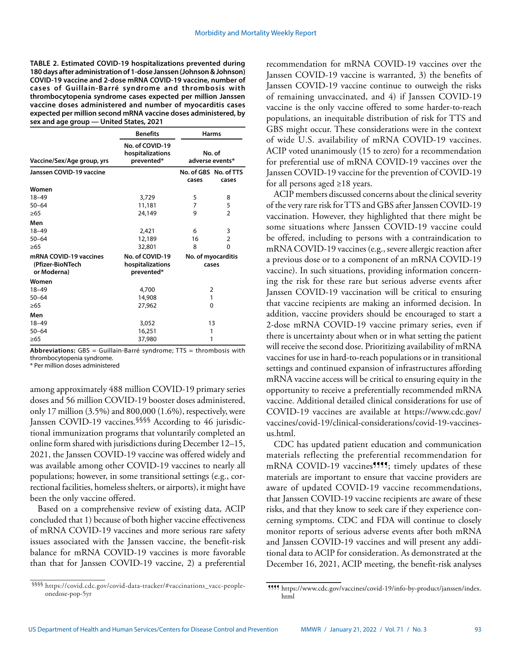**TABLE 2. Estimated COVID-19 hospitalizations prevented during 180 days after administration of 1-dose Janssen (Johnson & Johnson) COVID-19 vaccine and 2-dose mRNA COVID-19 vaccine, number of cases of Guillain-Barré syndrome and thrombosis with thrombocytopenia syndrome cases expected per million Janssen vaccine doses administered and number of myocarditis cases expected per million second mRNA vaccine doses administered, by sex and age group — United States, 2021**

|                                                           | <b>Benefits</b>                                   |                             | <b>Harms</b>                   |  |
|-----------------------------------------------------------|---------------------------------------------------|-----------------------------|--------------------------------|--|
| Vaccine/Sex/Age group, yrs                                | No. of COVID-19<br>hospitalizations<br>prevented* | No. of<br>adverse events*   |                                |  |
| Janssen COVID-19 vaccine                                  |                                                   | cases                       | No. of GBS No. of TTS<br>cases |  |
| Women                                                     |                                                   |                             |                                |  |
| $18 - 49$                                                 | 3,729                                             | 5                           | 8                              |  |
| $50 - 64$                                                 | 11,181                                            | 7                           | 5                              |  |
| $\geq 65$                                                 | 24,149                                            | 9                           | 2                              |  |
| Men                                                       |                                                   |                             |                                |  |
| $18 - 49$                                                 | 2,421                                             | 6                           | 3                              |  |
| $50 - 64$                                                 | 12,189                                            | 16                          | 2                              |  |
| >65                                                       | 32,801                                            | 8                           | 0                              |  |
| mRNA COVID-19 vaccines<br>(Pfizer-BioNTech<br>or Moderna) | No. of COVID-19<br>hospitalizations<br>prevented* | No. of myocarditis<br>cases |                                |  |
| Women                                                     |                                                   |                             |                                |  |
| $18 - 49$                                                 | 4,700                                             | $\overline{2}$              |                                |  |
| $50 - 64$                                                 | 14,908                                            | 1                           |                                |  |
| >65                                                       | 27,962                                            | 0                           |                                |  |
| Men                                                       |                                                   |                             |                                |  |
| $18 - 49$                                                 | 3,052                                             | 13                          |                                |  |
| $50 - 64$                                                 | 16,251                                            | 1                           |                                |  |
| $\geq 65$                                                 | 37,980                                            | 1                           |                                |  |

**Abbreviations:** GBS = Guillain-Barré syndrome; TTS = thrombosis with thrombocytopenia syndrome.

\* Per million doses administered

among approximately 488 million COVID-19 primary series doses and 56 million COVID-19 booster doses administered, only 17 million (3.5%) and 800,000 (1.6%), respectively, were Janssen COVID-19 vaccines.<sup>§§§§</sup> According to 46 jurisdictional immunization programs that voluntarily completed an online form shared with jurisdictions during December 12–15, 2021, the Janssen COVID-19 vaccine was offered widely and was available among other COVID-19 vaccines to nearly all populations; however, in some transitional settings (e.g., correctional facilities, homeless shelters, or airports), it might have been the only vaccine offered.

Based on a comprehensive review of existing data, ACIP concluded that 1) because of both higher vaccine effectiveness of mRNA COVID-19 vaccines and more serious rare safety issues associated with the Janssen vaccine, the benefit-risk balance for mRNA COVID-19 vaccines is more favorable than that for Janssen COVID-19 vaccine, 2) a preferential recommendation for mRNA COVID-19 vaccines over the Janssen COVID-19 vaccine is warranted, 3) the benefits of Janssen COVID-19 vaccine continue to outweigh the risks of remaining unvaccinated, and 4) if Janssen COVID-19 vaccine is the only vaccine offered to some harder-to-reach populations, an inequitable distribution of risk for TTS and GBS might occur. These considerations were in the context of wide U.S. availability of mRNA COVID-19 vaccines. ACIP voted unanimously (15 to zero) for a recommendation for preferential use of mRNA COVID-19 vaccines over the Janssen COVID-19 vaccine for the prevention of COVID-19 for all persons aged ≥18 years.

ACIP members discussed concerns about the clinical severity of the very rare risk for TTS and GBS after Janssen COVID-19 vaccination. However, they highlighted that there might be some situations where Janssen COVID-19 vaccine could be offered, including to persons with a contraindication to mRNA COVID-19 vaccines (e.g., severe allergic reaction after a previous dose or to a component of an mRNA COVID-19 vaccine). In such situations, providing information concerning the risk for these rare but serious adverse events after Janssen COVID-19 vaccination will be critical to ensuring that vaccine recipients are making an informed decision. In addition, vaccine providers should be encouraged to start a 2-dose mRNA COVID-19 vaccine primary series, even if there is uncertainty about when or in what setting the patient will receive the second dose. Prioritizing availability of mRNA vaccines for use in hard-to-reach populations or in transitional settings and continued expansion of infrastructures affording mRNA vaccine access will be critical to ensuring equity in the opportunity to receive a preferentially recommended mRNA vaccine. Additional detailed clinical considerations for use of COVID-19 vaccines are available at [https://www.cdc.gov/](https://www.cdc.gov/vaccines/covid-19/clinical-considerations/covid-19-vaccines-us.html) [vaccines/covid-19/clinical-considerations/covid-19-vaccines](https://www.cdc.gov/vaccines/covid-19/clinical-considerations/covid-19-vaccines-us.html)[us.html.](https://www.cdc.gov/vaccines/covid-19/clinical-considerations/covid-19-vaccines-us.html)

CDC has updated patient education and communication materials reflecting the preferential recommendation for mRNA COVID-19 vaccines<sup>9999</sup>; timely updates of these materials are important to ensure that vaccine providers are aware of updated COVID-19 vaccine recommendations, that Janssen COVID-19 vaccine recipients are aware of these risks, and that they know to seek care if they experience concerning symptoms. CDC and FDA will continue to closely monitor reports of serious adverse events after both mRNA and Janssen COVID-19 vaccines and will present any additional data to ACIP for consideration. As demonstrated at the December 16, 2021, ACIP meeting, the benefit-risk analyses

<sup>§§§§</sup> [https://covid.cdc.gov/covid-data-tracker/#vaccinations\\_vacc-people](https://covid.cdc.gov/covid-data-tracker/#vaccinations_vacc-people-onedose-pop-5yr)[onedose-pop-5yr](https://covid.cdc.gov/covid-data-tracker/#vaccinations_vacc-people-onedose-pop-5yr)

<sup>¶¶¶¶</sup> [https://www.cdc.gov/vaccines/covid-19/info-by-product/janssen/index.](https://www.cdc.gov/vaccines/covid-19/info-by-product/janssen/index.html) [html](https://www.cdc.gov/vaccines/covid-19/info-by-product/janssen/index.html)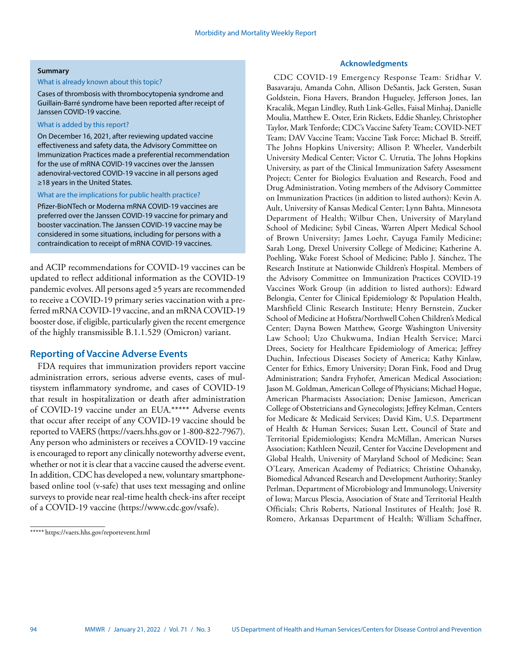# **Summary**

# What is already known about this topic?

Cases of thrombosis with thrombocytopenia syndrome and Guillain-Barré syndrome have been reported after receipt of Janssen COVID-19 vaccine.

# What is added by this report?

On December 16, 2021, after reviewing updated vaccine effectiveness and safety data, the Advisory Committee on Immunization Practices made a preferential recommendation for the use of mRNA COVID-19 vaccines over the Janssen adenoviral-vectored COVID-19 vaccine in all persons aged ≥18 years in the United States.

#### What are the implications for public health practice?

Pfizer-BioNTech or Moderna mRNA COVID-19 vaccines are preferred over the Janssen COVID-19 vaccine for primary and booster vaccination. The Janssen COVID-19 vaccine may be considered in some situations, including for persons with a contraindication to receipt of mRNA COVID-19 vaccines.

and ACIP recommendations for COVID-19 vaccines can be updated to reflect additional information as the COVID-19 pandemic evolves. All persons aged ≥5 years are recommended to receive a COVID-19 primary series vaccination with a preferred mRNA COVID-19 vaccine, and an mRNA COVID-19 booster dose, if eligible, particularly given the recent emergence of the highly transmissible B.1.1.529 (Omicron) variant.

# **Reporting of Vaccine Adverse Events**

FDA requires that immunization providers report vaccine administration errors, serious adverse events, cases of multisystem inflammatory syndrome, and cases of COVID-19 that result in hospitalization or death after administration of COVID-19 vaccine under an EUA.\*\*\*\*\* Adverse events that occur after receipt of any COVID-19 vaccine should be reported to VAERS [\(https://vaers.hhs.gov](https://vaers.hhs.gov) or 1-800-822-7967). Any person who administers or receives a COVID-19 vaccine is encouraged to report any clinically noteworthy adverse event, whether or not it is clear that a vaccine caused the adverse event. In addition, CDC has developed a new, voluntary smartphonebased online tool (v-safe) that uses text messaging and online surveys to provide near real-time health check-ins after receipt of a COVID-19 vaccine ([https://www.cdc.gov/vsafe\)](https://www.cdc.gov/vsafe).

# **Acknowledgments**

CDC COVID-19 Emergency Response Team: Sridhar V. Basavaraju, Amanda Cohn, Allison DeSantis, Jack Gersten, Susan Goldstein, Fiona Havers, Brandon Hugueley, Jefferson Jones, Ian Kracalik, Megan Lindley, Ruth Link-Gelles, Faisal Minhaj, Danielle Moulia, Matthew E. Oster, Erin Rickets, Eddie Shanley, Christopher Taylor, Mark Tenforde; CDC's Vaccine Safety Team; COVID-NET Team; DAV Vaccine Team; Vaccine Task Force; Michael B. Streiff, The Johns Hopkins University; Allison P. Wheeler, Vanderbilt University Medical Center; Victor C. Urrutia, The Johns Hopkins University, as part of the Clinical Immunization Safety Assessment Project; Center for Biologics Evaluation and Research, Food and Drug Administration. Voting members of the Advisory Committee on Immunization Practices (in addition to listed authors): Kevin A. Ault, University of Kansas Medical Center; Lynn Bahta, Minnesota Department of Health; Wilbur Chen, University of Maryland School of Medicine; Sybil Cineas, Warren Alpert Medical School of Brown University; James Loehr, Cayuga Family Medicine; Sarah Long, Drexel University College of Medicine; Katherine A. Poehling, Wake Forest School of Medicine; Pablo J. Sánchez, The Research Institute at Nationwide Children's Hospital. Members of the Advisory Committee on Immunization Practices COVID-19 Vaccines Work Group (in addition to listed authors): Edward Belongia, Center for Clinical Epidemiology & Population Health, Marshfield Clinic Research Institute; Henry Bernstein, Zucker School of Medicine at Hofstra/Northwell Cohen Children's Medical Center; Dayna Bowen Matthew, George Washington University Law School; Uzo Chukwuma, Indian Health Service; Marci Drees, Society for Healthcare Epidemiology of America; Jeffrey Duchin, Infectious Diseases Society of America; Kathy Kinlaw, Center for Ethics, Emory University; Doran Fink, Food and Drug Administration; Sandra Fryhofer, American Medical Association; Jason M. Goldman, American College of Physicians; Michael Hogue, American Pharmacists Association; Denise Jamieson, American College of Obstetricians and Gynecologists; Jeffrey Kelman, Centers for Medicare & Medicaid Services; David Kim, U.S. Department of Health & Human Services; Susan Lett, Council of State and Territorial Epidemiologists; Kendra McMillan, American Nurses Association; Kathleen Neuzil, Center for Vaccine Development and Global Health, University of Maryland School of Medicine; Sean O'Leary, American Academy of Pediatrics; Christine Oshansky, Biomedical Advanced Research and Development Authority; Stanley Perlman, Department of Microbiology and Immunology, University of Iowa; Marcus Plescia, Association of State and Territorial Health Officials; Chris Roberts, National Institutes of Health; José R. Romero, Arkansas Department of Health; William Schaffner,

<sup>\*\*\*\*\*</sup> <https://vaers.hhs.gov/reportevent.html>